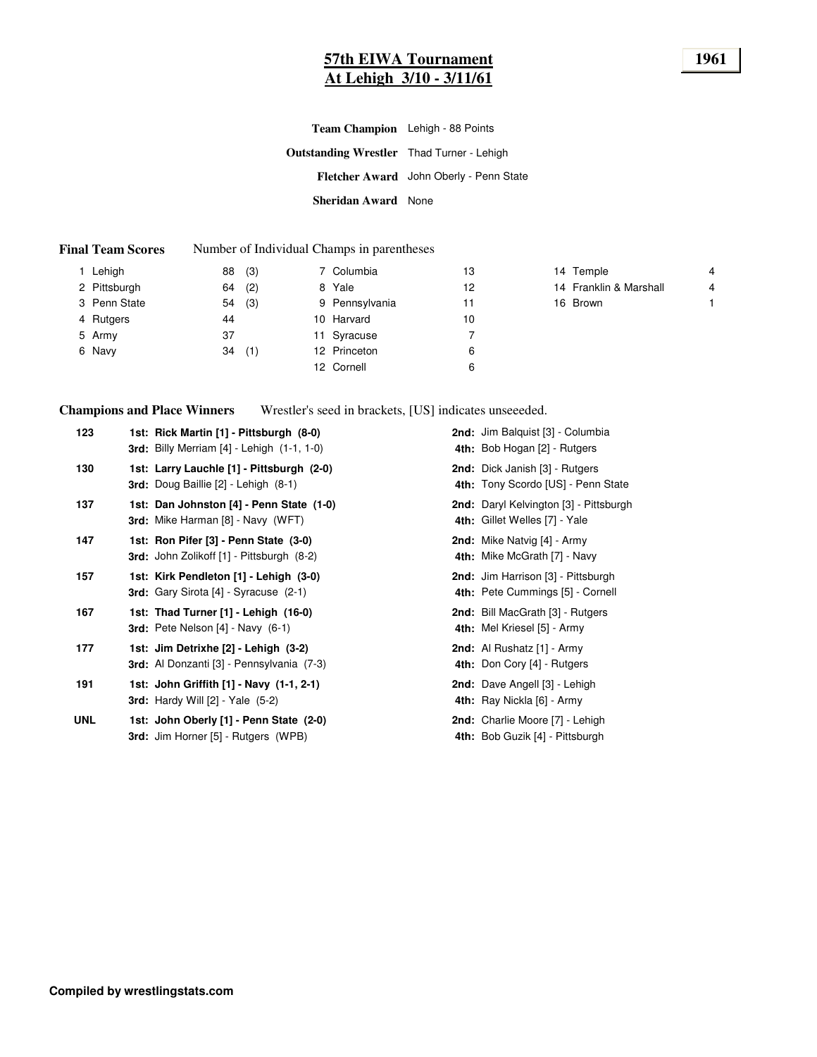#### **57th EIWA Tournament 1961 At Lehigh 3/10 - 3/11/61**

| <b>Team Champion</b> Lehigh - 88 Points          |                                         |
|--------------------------------------------------|-----------------------------------------|
| <b>Outstanding Wrestler</b> Thad Turner - Lehigh |                                         |
|                                                  | Fletcher Award John Oberly - Penn State |
| <b>Sheridan Award</b> None                       |                                         |

#### **Final Team Scores** Number of Individual Champs in parentheses

| Lehigh       | 88 | (3) | 7 Columbia     | 13 | 14 Temple              | 4 |
|--------------|----|-----|----------------|----|------------------------|---|
| 2 Pittsburgh | 64 | (2) | 8 Yale         | 12 | 14 Franklin & Marshall | 4 |
| 3 Penn State | 54 | (3) | 9 Pennsylvania | 11 | 16 Brown               |   |
| 4 Rutgers    | 44 |     | 10 Harvard     | 10 |                        |   |
| 5 Army       | 37 |     | 11 Syracuse    |    |                        |   |
| 6 Navy       | 34 | (1) | 12 Princeton   | 6  |                        |   |
|              |    |     | 12 Cornell     | 6  |                        |   |

**Champions and Place Winners**

Wrestler's seed in brackets, [US] indicates unseeeded.

| 123        | 1st: Rick Martin [1] - Pittsburgh (8-0)<br><b>3rd:</b> Billy Merriam $[4]$ - Lehigh $(1-1, 1-0)$ | 2nd: Jim Balquist [3] - Columbia<br>4th: Bob Hogan [2] - Rutgers        |
|------------|--------------------------------------------------------------------------------------------------|-------------------------------------------------------------------------|
| 130        | 1st: Larry Lauchle [1] - Pittsburgh (2-0)<br>3rd: Doug Baillie [2] - Lehigh (8-1)                | 2nd: Dick Janish [3] - Rutgers<br>4th: Tony Scordo [US] - Penn State    |
| 137        | 1st: Dan Johnston [4] - Penn State (1-0)<br>3rd: Mike Harman [8] - Navy (WFT)                    | 2nd: Daryl Kelvington [3] - Pittsburgh<br>4th: Gillet Welles [7] - Yale |
| 147        | 1st: Ron Pifer [3] - Penn State (3-0)<br>3rd: John Zolikoff [1] - Pittsburgh (8-2)               | 2nd: Mike Natvig [4] - Army<br>4th: Mike McGrath [7] - Navy             |
| 157        | 1st: Kirk Pendleton [1] - Lehigh (3-0)<br><b>3rd:</b> Gary Sirota [4] - Syracuse (2-1)           | 2nd: Jim Harrison [3] - Pittsburgh<br>4th: Pete Cummings [5] - Cornell  |
| 167        | 1st: Thad Turner [1] - Lehigh (16-0)<br><b>3rd:</b> Pete Nelson $[4]$ - Navy $(6-1)$             | 2nd: Bill MacGrath [3] - Rutgers<br>4th: Mel Kriesel [5] - Army         |
| 177        | 1st: Jim Detrixhe [2] - Lehigh (3-2)<br><b>3rd:</b> Al Donzanti [3] - Pennsylvania (7-3)         | 2nd: Al Rushatz [1] - Army<br>4th: Don Cory [4] - Rutgers               |
| 191        | 1st: John Griffith [1] - Navy (1-1, 2-1)<br><b>3rd:</b> Hardy Will $[2]$ - Yale $(5-2)$          | 2nd: Dave Angell [3] - Lehigh<br>4th: Ray Nickla [6] - Army             |
| <b>UNL</b> | 1st: John Oberly [1] - Penn State (2-0)<br>3rd: Jim Horner [5] - Rutgers (WPB)                   | 2nd: Charlie Moore [7] - Lehigh<br>4th: Bob Guzik [4] - Pittsburgh      |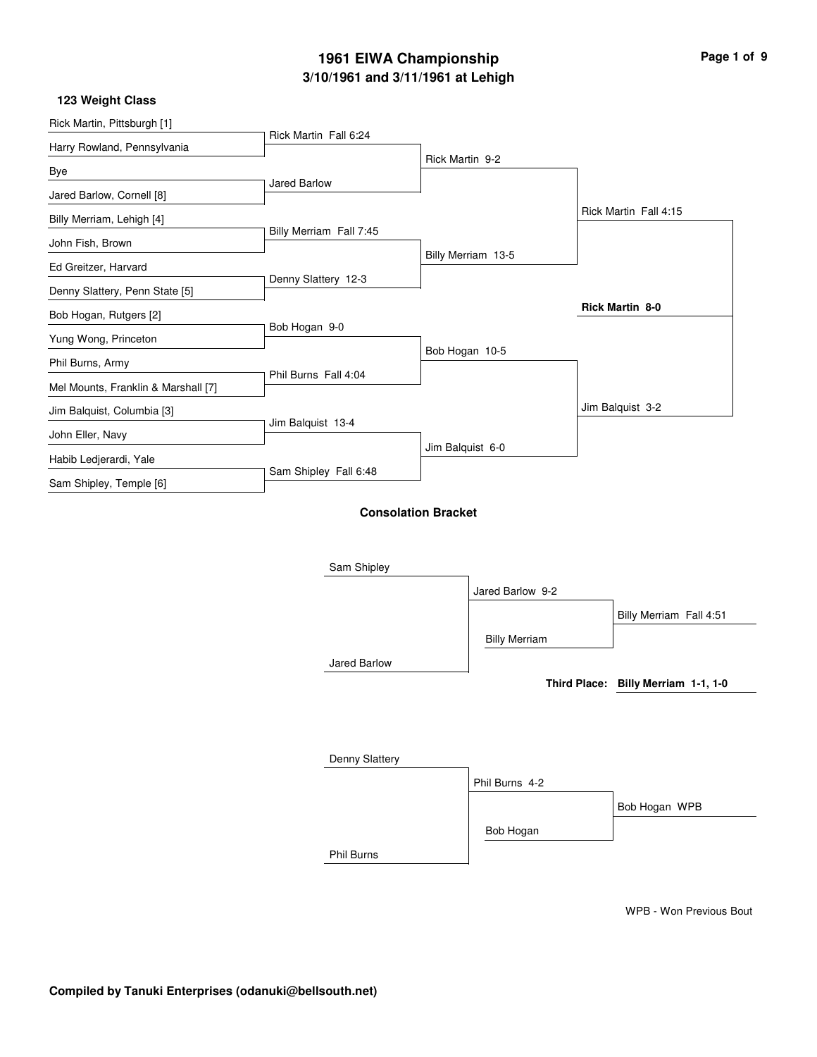| Page 1 of 9 |  |  |
|-------------|--|--|
|             |  |  |

#### **123 Weight Class**

| Rick Martin, Pittsburgh [1]         | Rick Martin Fall 6:24   |                            |                      |                                     |
|-------------------------------------|-------------------------|----------------------------|----------------------|-------------------------------------|
| Harry Rowland, Pennsylvania         |                         |                            |                      |                                     |
| Bye                                 |                         | Rick Martin 9-2            |                      |                                     |
| Jared Barlow, Cornell [8]           | Jared Barlow            |                            |                      |                                     |
| Billy Merriam, Lehigh [4]           |                         |                            |                      | Rick Martin Fall 4:15               |
| John Fish, Brown                    | Billy Merriam Fall 7:45 |                            |                      |                                     |
| Ed Greitzer, Harvard                |                         |                            | Billy Merriam 13-5   |                                     |
| Denny Slattery, Penn State [5]      | Denny Slattery 12-3     |                            |                      |                                     |
| Bob Hogan, Rutgers [2]              |                         |                            |                      | Rick Martin 8-0                     |
| Yung Wong, Princeton                | Bob Hogan 9-0           |                            |                      |                                     |
| Phil Burns, Army                    |                         | Bob Hogan 10-5             |                      |                                     |
| Mel Mounts, Franklin & Marshall [7] | Phil Burns Fall 4:04    |                            |                      |                                     |
|                                     |                         |                            |                      | Jim Balquist 3-2                    |
| Jim Balquist, Columbia [3]          | Jim Balquist 13-4       |                            |                      |                                     |
| John Eller, Navy                    |                         | Jim Balquist 6-0           |                      |                                     |
| Habib Ledjerardi, Yale              | Sam Shipley Fall 6:48   |                            |                      |                                     |
| Sam Shipley, Temple [6]             |                         |                            |                      |                                     |
|                                     |                         | <b>Consolation Bracket</b> |                      |                                     |
|                                     |                         |                            |                      |                                     |
|                                     | Sam Shipley             |                            |                      |                                     |
|                                     |                         |                            |                      |                                     |
|                                     |                         |                            | Jared Barlow 9-2     |                                     |
|                                     |                         |                            |                      | Billy Merriam Fall 4:51             |
|                                     |                         |                            | <b>Billy Merriam</b> |                                     |
|                                     | Jared Barlow            |                            |                      |                                     |
|                                     |                         |                            |                      | Third Place: Billy Merriam 1-1, 1-0 |
|                                     |                         |                            |                      |                                     |
|                                     |                         |                            |                      |                                     |
|                                     | Denny Slattery          |                            |                      |                                     |
|                                     |                         |                            | Phil Burns 4-2       |                                     |

Bob Hogan

Phil Burns

WPB - Won Previous Bout

Bob Hogan WPB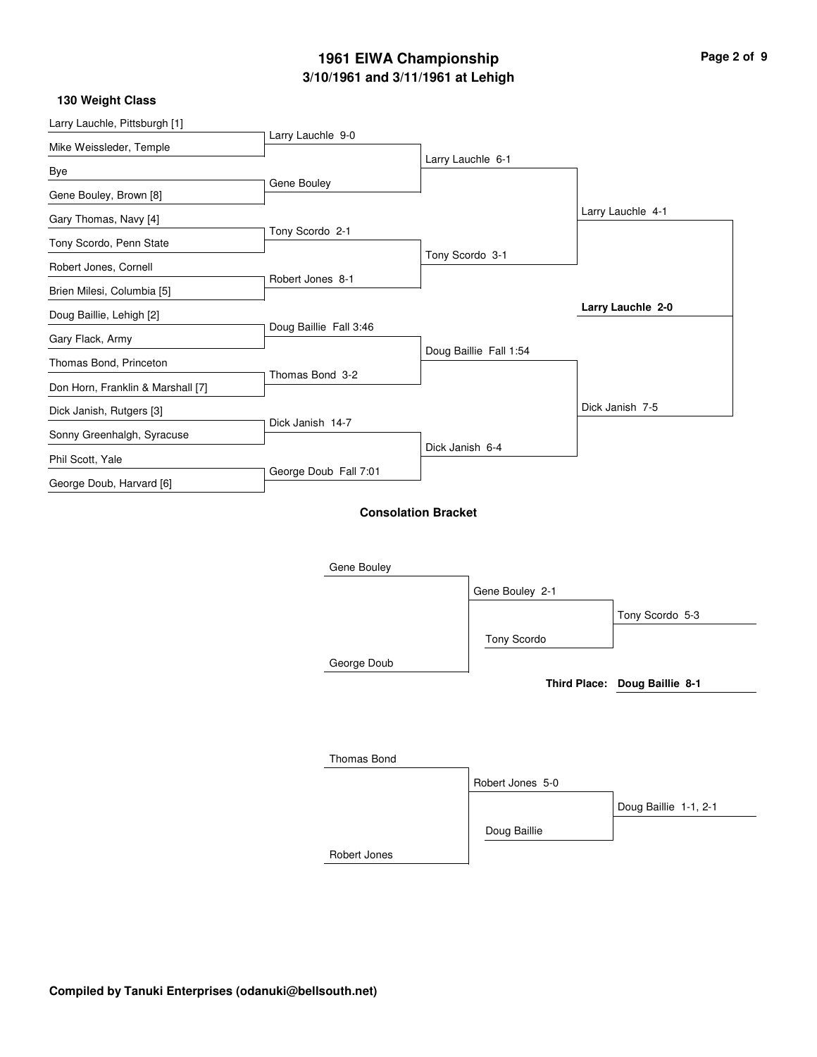| Page 2 of 9 |  |  |
|-------------|--|--|
|             |  |  |

#### **130 Weight Class**

| Mike Weissleder, Temple           | Larry Lauchle 9-0      |                            |                        |                               |
|-----------------------------------|------------------------|----------------------------|------------------------|-------------------------------|
|                                   |                        |                            | Larry Lauchle 6-1      |                               |
| Bye                               | Gene Bouley            |                            |                        |                               |
| Gene Bouley, Brown [8]            |                        |                            |                        | Larry Lauchle 4-1             |
| Gary Thomas, Navy [4]             | Tony Scordo 2-1        |                            |                        |                               |
| Tony Scordo, Penn State           |                        |                            | Tony Scordo 3-1        |                               |
| Robert Jones, Cornell             |                        |                            |                        |                               |
| Brien Milesi, Columbia [5]        | Robert Jones 8-1       |                            |                        |                               |
| Doug Baillie, Lehigh [2]          |                        |                            |                        | Larry Lauchle 2-0             |
| Gary Flack, Army                  | Doug Baillie Fall 3:46 |                            |                        |                               |
| Thomas Bond, Princeton            |                        |                            | Doug Baillie Fall 1:54 |                               |
|                                   | Thomas Bond 3-2        |                            |                        |                               |
| Don Horn, Franklin & Marshall [7] |                        |                            |                        |                               |
| Dick Janish, Rutgers [3]          | Dick Janish 14-7       |                            |                        | Dick Janish 7-5               |
| Sonny Greenhalgh, Syracuse        |                        | Dick Janish 6-4            |                        |                               |
| Phil Scott, Yale                  | George Doub Fall 7:01  |                            |                        |                               |
| George Doub, Harvard [6]          |                        |                            |                        |                               |
|                                   |                        | <b>Consolation Bracket</b> |                        |                               |
|                                   |                        |                            |                        |                               |
|                                   |                        |                            |                        |                               |
|                                   | Gene Bouley            |                            |                        |                               |
|                                   |                        |                            | Gene Bouley 2-1        |                               |
|                                   |                        |                            |                        | Tony Scordo 5-3               |
|                                   |                        |                            | Tony Scordo            |                               |
|                                   | George Doub            |                            |                        |                               |
|                                   |                        |                            |                        | Third Place: Doug Baillie 8-1 |
|                                   |                        |                            |                        |                               |
|                                   |                        |                            |                        |                               |
|                                   |                        |                            |                        |                               |
|                                   | <b>Thomas Bond</b>     |                            |                        |                               |

|              | Robert Jones 5-0 |                       |
|--------------|------------------|-----------------------|
|              |                  | Doug Baillie 1-1, 2-1 |
|              | Doug Baillie     |                       |
| Robert Jones |                  |                       |

**Compiled by Tanuki Enterprises (odanuki@bellsouth.net)**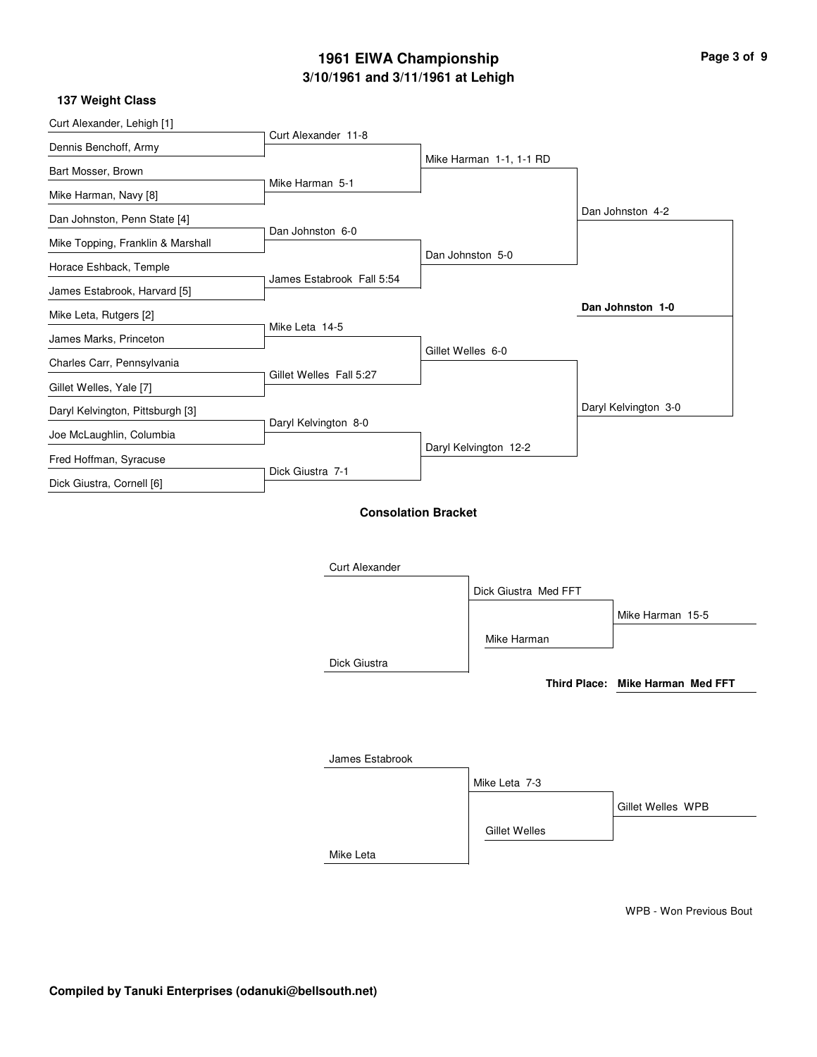| 137 Weight Class                  |                           |                            |                         |                      |
|-----------------------------------|---------------------------|----------------------------|-------------------------|----------------------|
| Curt Alexander, Lehigh [1]        |                           |                            |                         |                      |
| Dennis Benchoff, Army             | Curt Alexander 11-8       |                            | Mike Harman 1-1, 1-1 RD |                      |
| Bart Mosser, Brown                |                           |                            |                         |                      |
| Mike Harman, Navy [8]             | Mike Harman 5-1           |                            |                         |                      |
| Dan Johnston, Penn State [4]      |                           |                            |                         | Dan Johnston 4-2     |
| Mike Topping, Franklin & Marshall | Dan Johnston 6-0          |                            |                         |                      |
| Horace Eshback, Temple            |                           |                            | Dan Johnston 5-0        |                      |
| James Estabrook, Harvard [5]      | James Estabrook Fall 5:54 |                            |                         |                      |
| Mike Leta, Rutgers [2]            |                           |                            |                         | Dan Johnston 1-0     |
| James Marks, Princeton            | Mike Leta 14-5            |                            |                         |                      |
| Charles Carr, Pennsylvania        |                           | Gillet Welles 6-0          |                         |                      |
| Gillet Welles, Yale [7]           | Gillet Welles Fall 5:27   |                            |                         |                      |
| Daryl Kelvington, Pittsburgh [3]  |                           |                            |                         | Daryl Kelvington 3-0 |
| Joe McLaughlin, Columbia          | Daryl Kelvington 8-0      |                            |                         |                      |
| Fred Hoffman, Syracuse            |                           |                            | Daryl Kelvington 12-2   |                      |
| Dick Giustra, Cornell [6]         | Dick Giustra 7-1          |                            |                         |                      |
|                                   |                           | <b>Consolation Bracket</b> |                         |                      |
|                                   |                           |                            |                         |                      |
|                                   | <b>Curt Alexander</b>     |                            |                         |                      |
|                                   |                           |                            | Dick Giustra Med FFT    |                      |
|                                   |                           |                            |                         |                      |

Mike Leta

|                 |                      | Mike Harman 15-5                 |
|-----------------|----------------------|----------------------------------|
|                 | Mike Harman          |                                  |
| Dick Giustra    |                      |                                  |
|                 |                      | Third Place: Mike Harman Med FFT |
|                 |                      |                                  |
|                 |                      |                                  |
| James Estabrook |                      |                                  |
|                 | Mike Leta 7-3        |                                  |
|                 |                      | Gillet Welles WPB                |
|                 | <b>Gillet Welles</b> |                                  |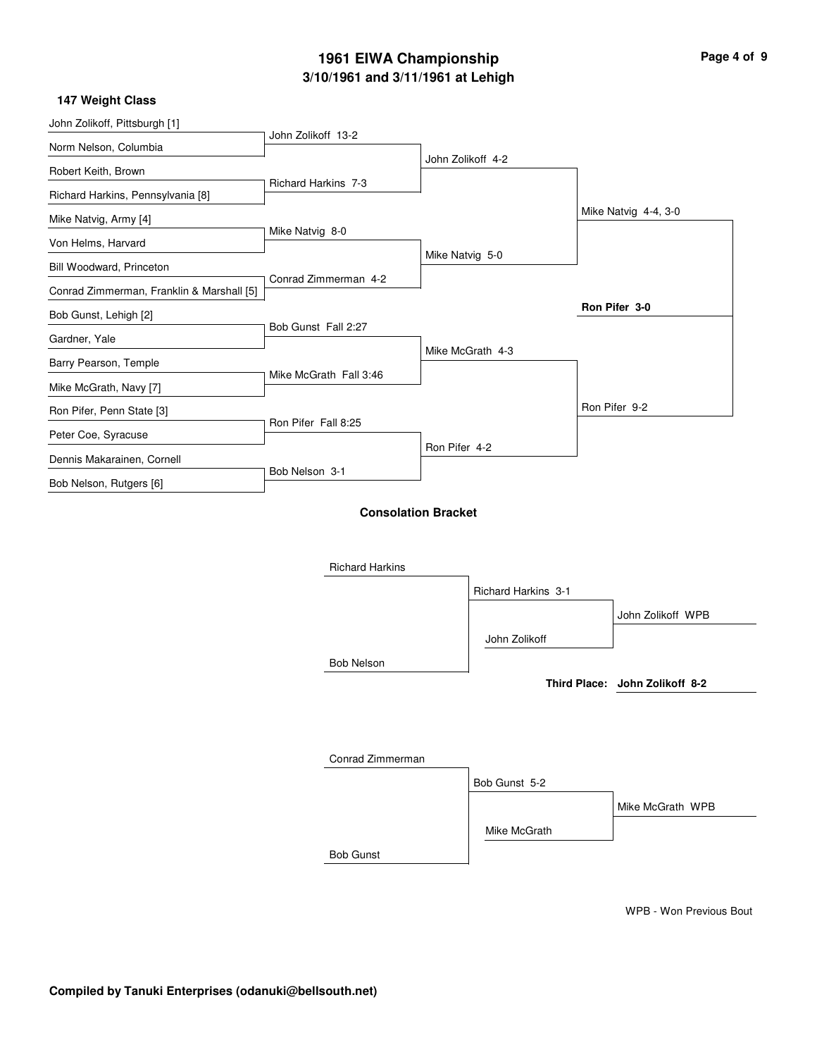| Page 4 of 9 |  |  |
|-------------|--|--|
|             |  |  |

#### **147 Weight Class**

| 177 WGIYIN VIASS                          |                        |                            |                     |                                |
|-------------------------------------------|------------------------|----------------------------|---------------------|--------------------------------|
| John Zolikoff, Pittsburgh [1]             |                        |                            |                     |                                |
| Norm Nelson, Columbia                     | John Zolikoff 13-2     |                            |                     |                                |
| Robert Keith, Brown                       |                        |                            | John Zolikoff 4-2   |                                |
| Richard Harkins, Pennsylvania [8]         | Richard Harkins 7-3    |                            |                     |                                |
| Mike Natvig, Army [4]                     |                        |                            |                     | Mike Natvig 4-4, 3-0           |
| Von Helms, Harvard                        | Mike Natvig 8-0        |                            |                     |                                |
| Bill Woodward, Princeton                  |                        | Mike Natvig 5-0            |                     |                                |
| Conrad Zimmerman, Franklin & Marshall [5] | Conrad Zimmerman 4-2   |                            |                     |                                |
| Bob Gunst, Lehigh [2]                     |                        |                            |                     | Ron Pifer 3-0                  |
| Gardner, Yale                             | Bob Gunst Fall 2:27    |                            |                     |                                |
| Barry Pearson, Temple                     |                        |                            | Mike McGrath 4-3    |                                |
| Mike McGrath, Navy [7]                    | Mike McGrath Fall 3:46 |                            |                     |                                |
| Ron Pifer, Penn State [3]                 |                        |                            |                     | Ron Pifer 9-2                  |
| Peter Coe, Syracuse                       | Ron Pifer Fall 8:25    |                            |                     |                                |
| Dennis Makarainen, Cornell                |                        | Ron Pifer 4-2              |                     |                                |
| Bob Nelson, Rutgers [6]                   | Bob Nelson 3-1         |                            |                     |                                |
|                                           |                        |                            |                     |                                |
|                                           |                        | <b>Consolation Bracket</b> |                     |                                |
|                                           |                        |                            |                     |                                |
|                                           | <b>Richard Harkins</b> |                            |                     |                                |
|                                           |                        |                            | Richard Harkins 3-1 |                                |
|                                           |                        |                            |                     | John Zolikoff WPB              |
|                                           |                        |                            | John Zolikoff       |                                |
|                                           | <b>Bob Nelson</b>      |                            |                     |                                |
|                                           |                        |                            |                     | Third Place: John Zolikoff 8-2 |
|                                           |                        |                            |                     |                                |
|                                           |                        |                            |                     |                                |
|                                           | Conrad Zimmerman       |                            |                     |                                |
|                                           |                        |                            | Bob Gunst 5-2       |                                |
|                                           |                        |                            |                     |                                |
|                                           |                        |                            |                     | Mike McGrath WPB               |
|                                           |                        |                            | Mike McGrath        |                                |
|                                           | <b>Bob Gunst</b>       |                            |                     |                                |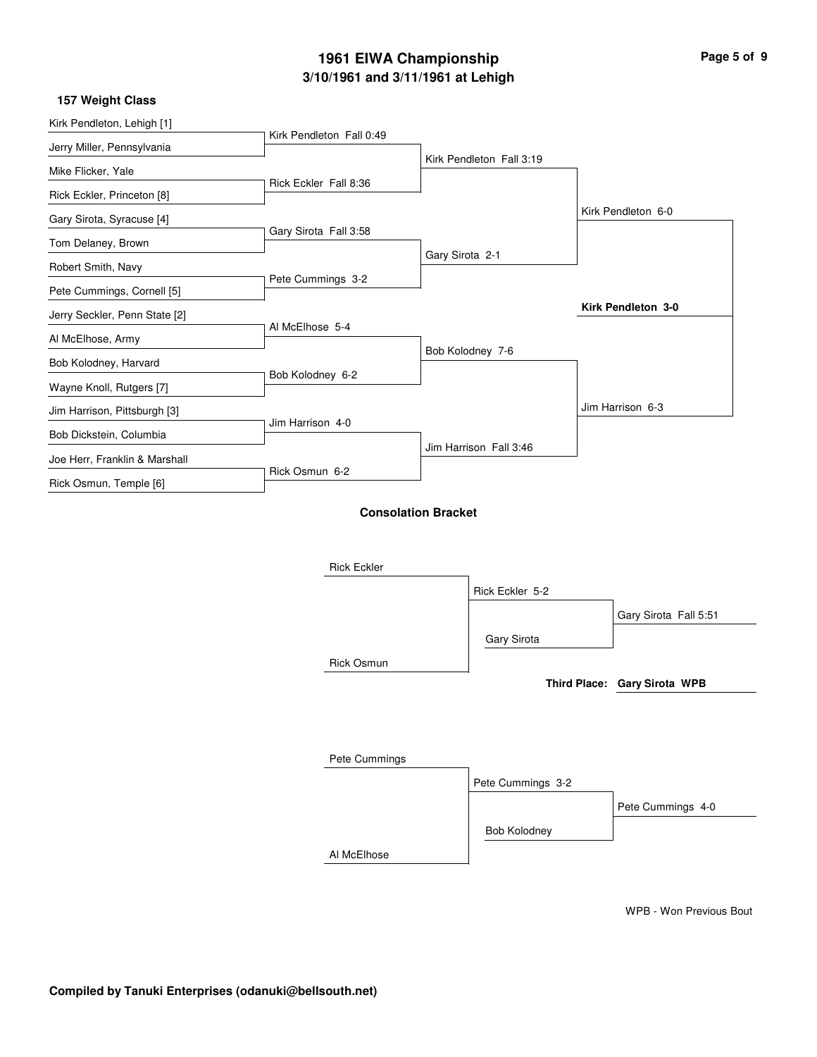| 157 Weight Class              |                          |                          |                    |  |
|-------------------------------|--------------------------|--------------------------|--------------------|--|
| Kirk Pendleton, Lehigh [1]    |                          |                          |                    |  |
| Jerry Miller, Pennsylvania    | Kirk Pendleton Fall 0:49 |                          |                    |  |
| Mike Flicker, Yale            |                          | Kirk Pendleton Fall 3:19 |                    |  |
| Rick Eckler, Princeton [8]    | Rick Eckler Fall 8:36    |                          |                    |  |
| Gary Sirota, Syracuse [4]     |                          |                          | Kirk Pendleton 6-0 |  |
| Tom Delaney, Brown            | Gary Sirota Fall 3:58    |                          |                    |  |
|                               |                          | Gary Sirota 2-1          |                    |  |
| Robert Smith, Navy            | Pete Cummings 3-2        |                          |                    |  |
| Pete Cummings, Cornell [5]    |                          |                          |                    |  |
| Jerry Seckler, Penn State [2] |                          |                          | Kirk Pendleton 3-0 |  |
| Al McElhose, Army             | Al McElhose 5-4          |                          |                    |  |
| Bob Kolodney, Harvard         |                          | Bob Kolodney 7-6         |                    |  |
| Wayne Knoll, Rutgers [7]      | Bob Kolodney 6-2         |                          |                    |  |
| Jim Harrison, Pittsburgh [3]  |                          |                          | Jim Harrison 6-3   |  |
| Bob Dickstein, Columbia       | Jim Harrison 4-0         |                          |                    |  |
|                               |                          | Jim Harrison Fall 3:46   |                    |  |
| Joe Herr, Franklin & Marshall | Rick Osmun 6-2           |                          |                    |  |
| Rick Osmun, Temple [6]        |                          |                          |                    |  |

**Consolation Bracket**

Rick Eckler Rick Osmun Pete Cummings Al McElhose Rick Eckler 5-2 Pete Cummings 3-2 Gary Sirota Bob Kolodney Gary Sirota Fall 5:51 Pete Cummings 4-0 **Third Place: Gary Sirota WPB**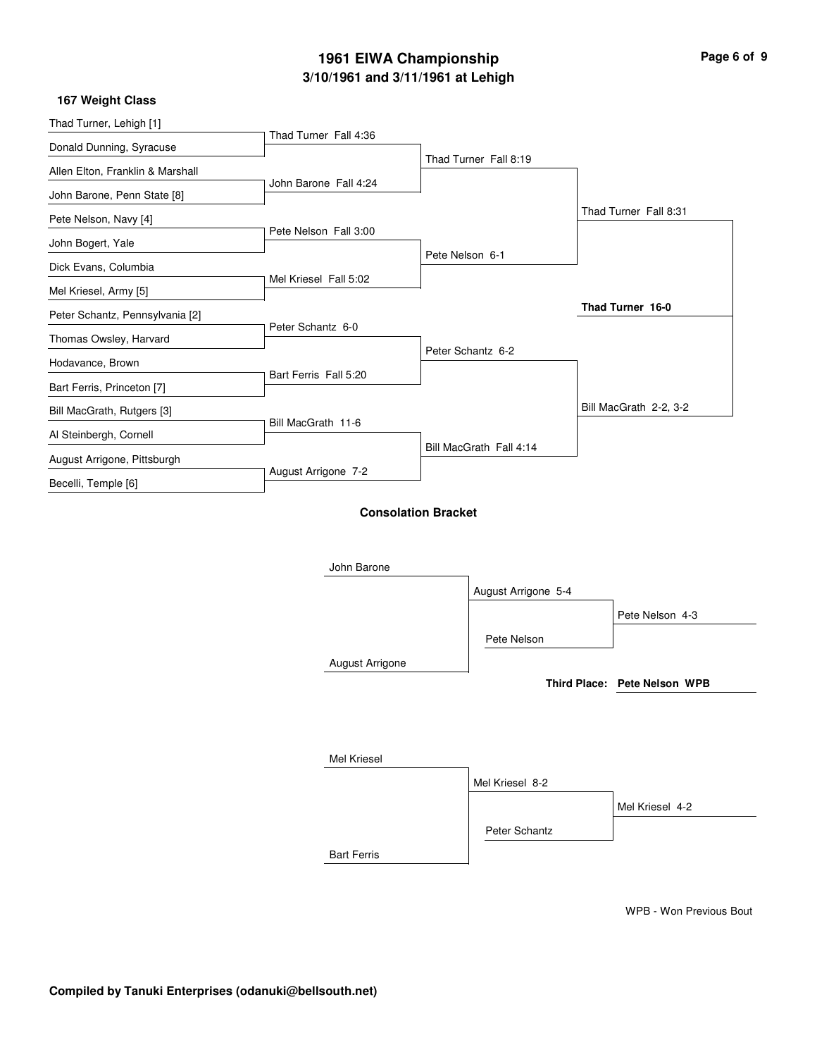| Page 6 of 9 |  |  |
|-------------|--|--|
|             |  |  |

#### **167 Weight Class**

| Thad Turner, Lehigh [1]          | Thad Turner Fall 4:36 |                            |                         |                              |
|----------------------------------|-----------------------|----------------------------|-------------------------|------------------------------|
| Donald Dunning, Syracuse         |                       |                            |                         |                              |
| Allen Elton, Franklin & Marshall |                       |                            | Thad Turner Fall 8:19   |                              |
| John Barone, Penn State [8]      | John Barone Fall 4:24 |                            |                         |                              |
| Pete Nelson, Navy [4]            |                       |                            |                         | Thad Turner Fall 8:31        |
| John Bogert, Yale                | Pete Nelson Fall 3:00 |                            |                         |                              |
| Dick Evans, Columbia             |                       | Pete Nelson 6-1            |                         |                              |
| Mel Kriesel, Army [5]            | Mel Kriesel Fall 5:02 |                            |                         |                              |
| Peter Schantz, Pennsylvania [2]  |                       |                            |                         | Thad Turner 16-0             |
| Thomas Owsley, Harvard           | Peter Schantz 6-0     |                            |                         |                              |
| Hodavance, Brown                 |                       |                            | Peter Schantz 6-2       |                              |
| Bart Ferris, Princeton [7]       | Bart Ferris Fall 5:20 |                            |                         |                              |
| Bill MacGrath, Rutgers [3]       |                       |                            |                         | Bill MacGrath 2-2, 3-2       |
| Al Steinbergh, Cornell           | Bill MacGrath 11-6    |                            |                         |                              |
| August Arrigone, Pittsburgh      |                       |                            | Bill MacGrath Fall 4:14 |                              |
| Becelli, Temple [6]              | August Arrigone 7-2   |                            |                         |                              |
|                                  | John Barone           | <b>Consolation Bracket</b> |                         |                              |
|                                  |                       |                            | August Arrigone 5-4     |                              |
|                                  |                       |                            |                         | Pete Nelson 4-3              |
|                                  |                       |                            | Pete Nelson             |                              |
|                                  | August Arrigone       |                            |                         |                              |
|                                  |                       |                            |                         | Third Place: Pete Nelson WPB |
|                                  |                       |                            |                         |                              |
|                                  | Mel Kriesel           |                            |                         |                              |
|                                  |                       |                            | Mel Kriesel 8-2         |                              |
|                                  |                       |                            |                         | Mel Kriesel 4-2              |
|                                  |                       |                            | Peter Schantz           |                              |

Bart Ferris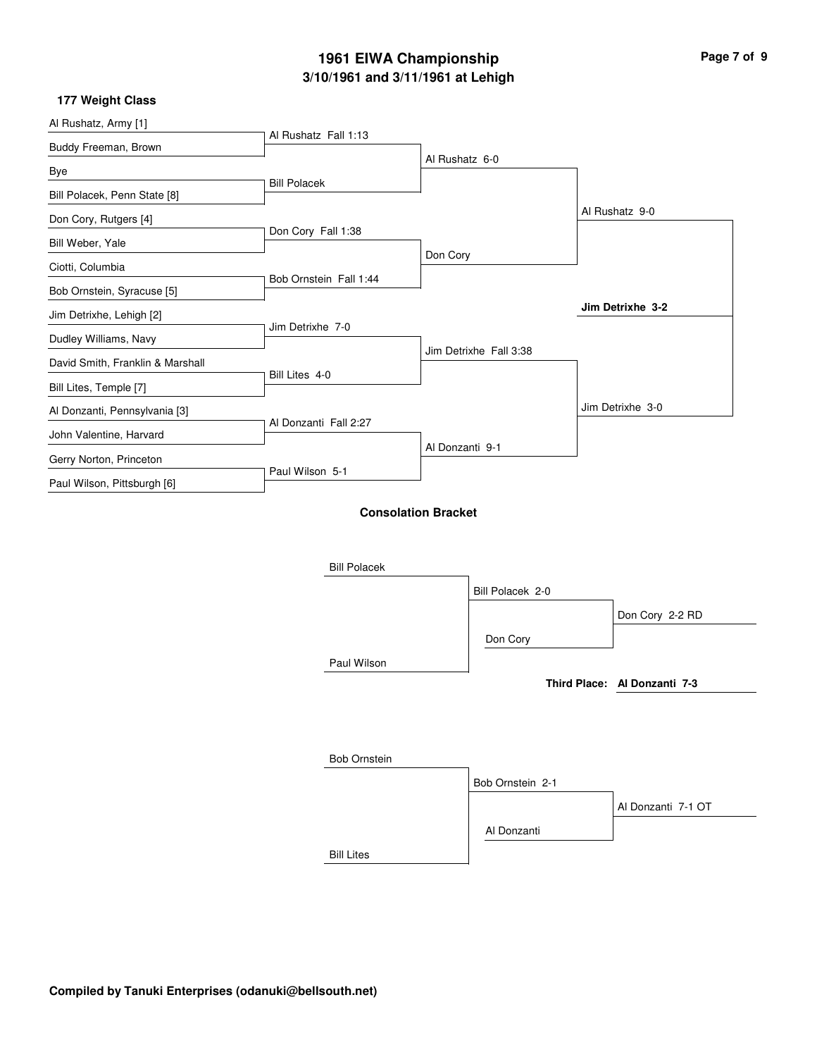| Page 7 of 9 |  |  |
|-------------|--|--|
|             |  |  |

#### **177 Weight Class**

| Al Rushatz, Army [1]             | Al Rushatz Fall 1:13   |                            |                              |
|----------------------------------|------------------------|----------------------------|------------------------------|
| Buddy Freeman, Brown             |                        |                            |                              |
| Bye                              |                        | Al Rushatz 6-0             |                              |
| Bill Polacek, Penn State [8]     | <b>Bill Polacek</b>    |                            |                              |
| Don Cory, Rutgers [4]            |                        |                            | Al Rushatz 9-0               |
| Bill Weber, Yale                 | Don Cory Fall 1:38     |                            |                              |
| Ciotti, Columbia                 |                        | Don Cory                   |                              |
| Bob Ornstein, Syracuse [5]       | Bob Ornstein Fall 1:44 |                            |                              |
| Jim Detrixhe, Lehigh [2]         |                        |                            | Jim Detrixhe 3-2             |
| Dudley Williams, Navy            | Jim Detrixhe 7-0       |                            |                              |
| David Smith, Franklin & Marshall |                        | Jim Detrixhe Fall 3:38     |                              |
| Bill Lites, Temple [7]           | Bill Lites 4-0         |                            |                              |
| Al Donzanti, Pennsylvania [3]    |                        |                            | Jim Detrixhe 3-0             |
| John Valentine, Harvard          | Al Donzanti Fall 2:27  |                            |                              |
| Gerry Norton, Princeton          |                        | Al Donzanti 9-1            |                              |
| Paul Wilson, Pittsburgh [6]      | Paul Wilson 5-1        |                            |                              |
|                                  |                        |                            |                              |
|                                  |                        | <b>Consolation Bracket</b> |                              |
|                                  |                        |                            |                              |
|                                  | <b>Bill Polacek</b>    |                            |                              |
|                                  |                        | Bill Polacek 2-0           |                              |
|                                  |                        |                            | Don Cory 2-2 RD              |
|                                  |                        | Don Cory                   |                              |
|                                  | Paul Wilson            |                            |                              |
|                                  |                        |                            | Third Place: Al Donzanti 7-3 |
|                                  |                        |                            |                              |
|                                  |                        |                            |                              |
|                                  | <b>Bob Ornstein</b>    |                            |                              |
|                                  |                        | Bob Ornstein 2-1           |                              |
|                                  |                        |                            | Al Donzanti 7-1 OT           |
|                                  |                        | Al Donzanti                |                              |
|                                  |                        |                            |                              |

Bill Lites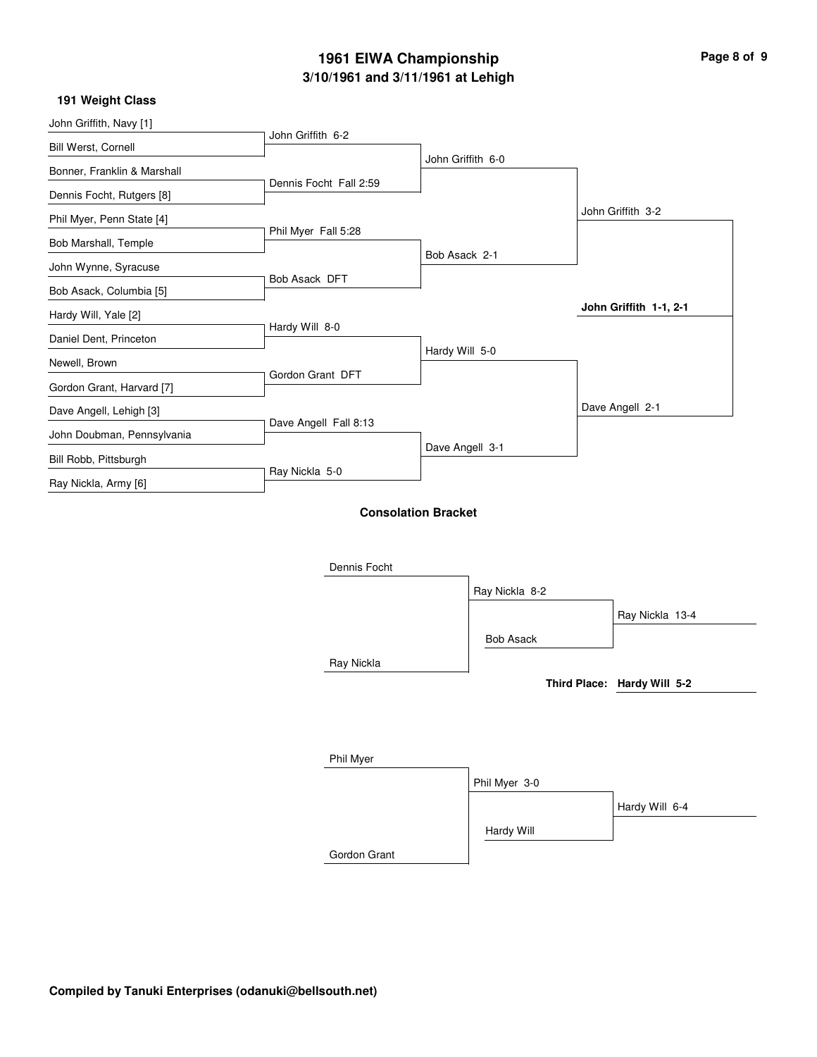| Page 8 of 9 |  |  |
|-------------|--|--|
|             |  |  |

i.

۰

#### **191 Weight Class**

| John Griffith, Navy [1]     |                            |                   |                  |                             |
|-----------------------------|----------------------------|-------------------|------------------|-----------------------------|
| Bill Werst, Cornell         | John Griffith 6-2          |                   |                  |                             |
| Bonner, Franklin & Marshall |                            | John Griffith 6-0 |                  |                             |
| Dennis Focht, Rutgers [8]   | Dennis Focht Fall 2:59     |                   |                  |                             |
| Phil Myer, Penn State [4]   |                            |                   |                  | John Griffith 3-2           |
| Bob Marshall, Temple        | Phil Myer Fall 5:28        |                   |                  |                             |
| John Wynne, Syracuse        |                            | Bob Asack 2-1     |                  |                             |
| Bob Asack, Columbia [5]     | Bob Asack DFT              |                   |                  |                             |
| Hardy Will, Yale [2]        |                            |                   |                  | John Griffith 1-1, 2-1      |
| Daniel Dent, Princeton      | Hardy Will 8-0             |                   |                  |                             |
| Newell, Brown               |                            | Hardy Will 5-0    |                  |                             |
| Gordon Grant, Harvard [7]   | Gordon Grant DFT           |                   |                  |                             |
| Dave Angell, Lehigh [3]     |                            |                   |                  | Dave Angell 2-1             |
| John Doubman, Pennsylvania  | Dave Angell Fall 8:13      |                   |                  |                             |
| Bill Robb, Pittsburgh       |                            | Dave Angell 3-1   |                  |                             |
| Ray Nickla, Army [6]        | Ray Nickla 5-0             |                   |                  |                             |
|                             |                            |                   |                  |                             |
|                             | <b>Consolation Bracket</b> |                   |                  |                             |
|                             |                            |                   |                  |                             |
|                             | Dennis Focht               |                   |                  |                             |
|                             |                            |                   | Ray Nickla 8-2   |                             |
|                             |                            |                   |                  | Ray Nickla 13-4             |
|                             |                            |                   | <b>Bob Asack</b> |                             |
|                             | Ray Nickla                 |                   |                  |                             |
|                             |                            |                   |                  | Third Place: Hardy Will 5-2 |
|                             |                            |                   |                  |                             |

| Phil Myer    |               |                |
|--------------|---------------|----------------|
|              | Phil Myer 3-0 |                |
|              |               | Hardy Will 6-4 |
|              | Hardy Will    |                |
| Gordon Grant |               |                |